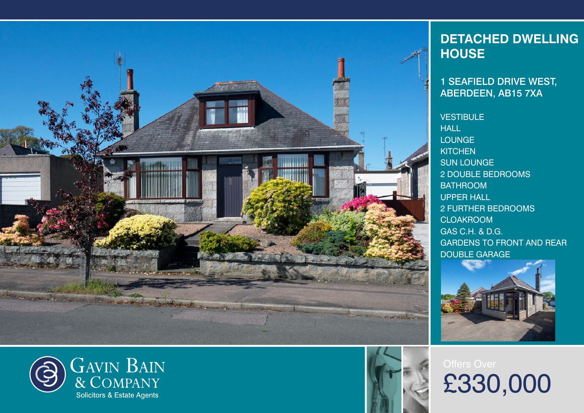



1 SEAFIELD DRIVE WEST, ABERDEEN, AB15 7XA

**VESTIBULE** HALL **LOUNGE KITCHEN** SUN LOUNGE 2 DOUBLE BEDROOMS **BATHROOM** UPPER HALL 2 FURTHER BEDROOMS **CLOAKROOM** GAS C.H. & D.G. GARDENS TO FRONT AND REAR DOUBLE GARAGE



£330,000

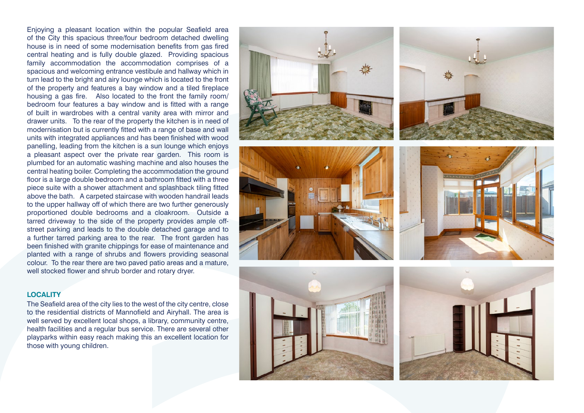Enjoying a pleasant location within the popular Seafield area of the City this spacious three/four bedroom detached dwelling house is in need of some modernisation benefits from gas fired central heating and is fully double glazed. Providing spacious family accommodation the accommodation comprises of a spacious and welcoming entrance vestibule and hallway which in turn lead to the bright and airy lounge which is located to the front of the property and features a bay window and a tiled fireplace housing a gas fire. Also located to the front the family room/ bedroom four features a bay window and is fitted with a range of built in wardrobes with a central vanity area with mirror and drawer units. To the rear of the property the kitchen is in need of modernisation but is currently fitted with a range of base and wall units with integrated appliances and has been finished with wood panelling, leading from the kitchen is a sun lounge which enjoys a pleasant aspect over the private rear garden. This room is plumbed for an automatic washing machine and also houses the central heating boiler. Completing the accommodation the ground floor is a large double bedroom and a bathroom fitted with a three piece suite with a shower attachment and splashback tiling fitted above the bath. A carpeted staircase with wooden handrail leads to the upper hallway off of which there are two further generously proportioned double bedrooms and a cloakroom. Outside a tarred driveway to the side of the property provides ample offstreet parking and leads to the double detached garage and to a further tarred parking area to the rear. The front garden has been finished with granite chippings for ease of maintenance and planted with a range of shrubs and flowers providing seasonal colour. To the rear there are two paved patio areas and a mature, well stocked flower and shrub border and rotary dryer.

## **LOCALITY**

The Seafield area of the city lies to the west of the city centre, close to the residential districts of Mannofield and Airyhall. The area is well served by excellent local shops, a library, community centre, health facilities and a regular bus service. There are several other playparks within easy reach making this an excellent location for those with young children.











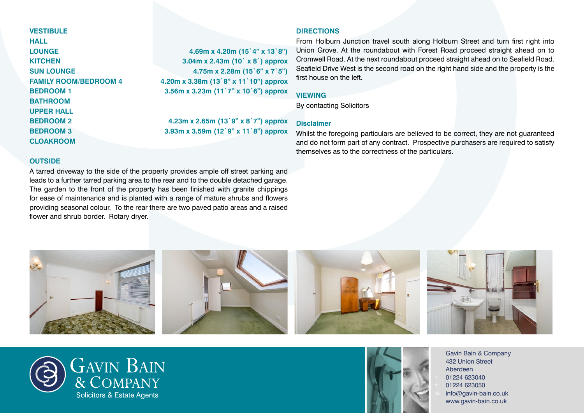**VESTIBULE HALL LOUNGE 4.69m x 4.20m (15`4" x 13`8") KITCHEN 3.04m x 2.43m (10` x 8`) approx SUN LOUNGE 4.75m x 2.28m (15`6" x 7`5") FAMILY ROOM/BEDROOM 4 4.20m x 3.38m (13`8" x 11`10") approx BEDROOM 1 3.56m x 3.23m (11`7" x 10`6") approx BATHROOM UPPER HALL BEDROOM 2 4.23m x 2.65m (13`9" x 8`7") approx BEDROOM 3 3.93m x 3.59m (12`9" x 11`8") approx CLOAKROOM**

# **DIRECTIONS**

From Holburn Junction travel south along Holburn Street and turn first right into Union Grove. At the roundabout with Forest Road proceed straight ahead on to Cromwell Road. At the next roundabout proceed straight ahead on to Seafield Road. Seafield Drive West is the second road on the right hand side and the property is the first house on the left.

### **VIEWING**

By contacting Solicitors

## **Disclaimer**

Whilst the foregoing particulars are believed to be correct, they are not guaranteed and do not form part of any contract. Prospective purchasers are required to satisfy themselves as to the correctness of the particulars.

#### **OUTSIDE**

A tarred driveway to the side of the property provides ample off street parking and leads to a further tarred parking area to the rear and to the double detached garage. The garden to the front of the property has been finished with granite chippings for ease of maintenance and is planted with a range of mature shrubs and flowers providing seasonal colour. To the rear there are two paved patio areas and a raised flower and shrub border. Rotary dryer.







Gavin Bain & Company 432 Union Street Aberdeen 01224 623040 01224 623050 [info@gavin-bain.co.uk](mailto:info%40gavin-bain.co.uk?subject=) [www.gavin-bain.co.uk](http://www.gavin-bain.co.uk)